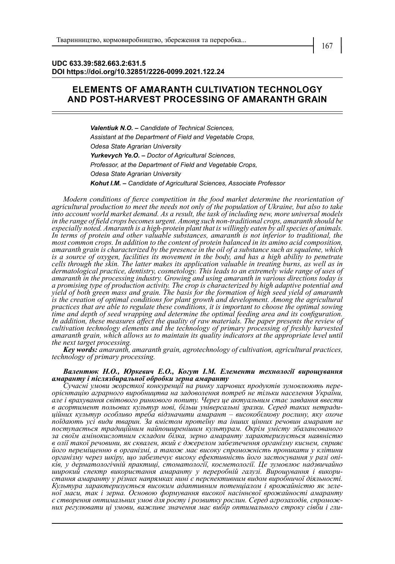## **UDC 633.39:582.663.2:631.5 DOI https://doi.org/10.32851/2226-0099.2021.122.24**

## **ELEMENTS OF AMARANTH CULTIVATION TECHNOLOGY AND POST-HARVEST PROCESSING OF AMARANTH GRAIN**

*Valentiuk N.O. – Candidate of Technical Sciences, Assistant at the Department of Field and Vegetable Crops, Odesa State Agrarian University Yurkevych Ye.O. – Doctor of Agricultural Sciences, Professor, at the Department of Field and Vegetable Crops, Odesa State Agrarian University Kohut I.M. – Candidate of Agricultural Sciences, Associate Professor*

*Modern conditions of fierce competition in the food market determine the reorientation of agricultural production to meet the needs not only of the population of Ukraine, but also to take into account world market demand. As a result, the task of including new, more universal models in the range of field crops becomes urgent. Among such non-traditional crops, amaranth should be especially noted. Amaranth is a high-protein plant that is willingly eaten by all species of animals.*  In terms of protein and other valuable substances, amaranth is not inferior to traditional, the *most common crops. In addition to the content of protein balanced in its amino acid composition, amaranth grain is characterized by the presence in the oil of a substance such as squalene, which is a source of oxygen, facilities its movement in the body, and has a high ability to penetrate cells through the skin. The latter makes its application valuable in treating burns, as well as in dermatological practice, dentistry, cosmetology. This leads to an extremely wide range of uses of amaranth in the processing industry. Growing and using amaranth in various directions today is a promising type of production activity. The crop is characterized by high adaptive potential and yield of both green mass and grain. The basis for the formation of high seed yield of amaranth*  is the creation of optimal conditions for plant growth and development. Among the agricultural *practices that are able to regulate these conditions, it is important to choose the optimal sowing time and depth of seed wrapping and determine the optimal feeding area and its configuration. In addition, these measures affect the quality of raw materials. The paper presents the review of cultivation technology elements and the technology of primary processing of freshly harvested*  amaranth grain, which allows us to maintain its quality indicators at the appropriate level until *the next target processing.*

*Key words: amaranth, amaranth grain, agrotechnology of cultivation, agricultural practices, technology of primary processing.*

## *Валентюк Н.О., Юркевич Е.О., Когут І.М. Елементи технології вирощування амаранту і післязбиральної обробки зерна амаранту*

*Сучасні умови жорсткої конкуренції на ринку харчових продуктів зумовлюють пере- орієнтацію аграрного виробництва на задоволення потреб не тільки населення України, але і врахування світового ринкового попиту. Через це актуальним стає завдання ввести в асортимент польових культур нові, більш універсальні зразки. Серед таких нетради- ційних культур особливо треба відзначити амарант – високобілкову рослину, яку охоче поїдають усі види тварин. За вмістом протеїну та інших цінних речовин амарант не поступається традиційним найпоширенішим культурам. Окрім умісту збалансованого за своїм амінокислотним складом білка, зерно амаранту характеризується наявністю в олії такої речовини, як сквален, який є джерелом забезпечення організму киснем, сприяє його переміщенню в організмі, а також має високу спроможність проникати у клітини організму через шкіру, що забезпечує високу ефективність його застосування у разі опі- ків, у дерматологічній практиці, стоматології, косметології. Це зумовлює надзвичайно широкий спектр використання амаранту у переробній галузі. Вирощування і викори- стання амаранту у різних напрямках нині є перспективним видом виробничої діяльності. Культура характеризується високим адаптивним потенціалом і врожайністю як зеле- ної маси, так і зерна. Основою формування високої насіннєвої врожайності амаранту є створення оптимальних умов для росту і розвитку рослин. Серед агрозаходів, спромож- них регулювати ці умови, важливе значення має вибір оптимального строку сівби і гли-*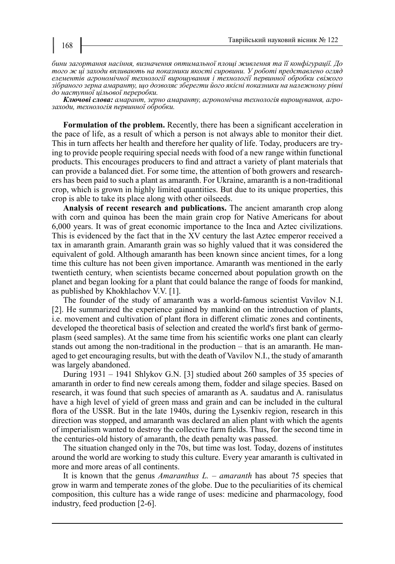*бини загортання насіння, визначення оптимальної площі живлення та її конфігурації. До того ж ці заходи впливають на показники якості сировини. У роботі представлено огляд елементів агрономічної технології вирощування і технології первинної обробки свіжого зібраного зерна амаранту, що дозволяє зберегти його якісні показники на належному рівні до наступної цільової переробки.* 

*Ключові слова: амарант, зерно амаранту, агрономічна технологія вирощування, агро- заходи, технологія первинної обробки.*

**Formulation of the problem.** Recently, there has been a significant acceleration in the pace of life, as a result of which a person is not always able to monitor their diet. This in turn affects her health and therefore her quality of life. Today, producers are trying to provide people requiring special needs with food of a new range within functional products. This encourages producers to find and attract a variety of plant materials that can provide a balanced diet. For some time, the attention of both growers and researchers has been paid to such a plant as amaranth. For Ukraine, amaranth is a non-traditional crop, which is grown in highly limited quantities. But due to its unique properties, this crop is able to take its place along with other oilseeds.

**Analysis of recent research and publications.** The ancient amaranth crop along with corn and quinoa has been the main grain crop for Native Americans for about 6,000 years. It was of great economic importance to the Inca and Aztec civilizations. This is evidenced by the fact that in the XV century the last Aztec emperor received a tax in amaranth grain. Amaranth grain was so highly valued that it was considered the equivalent of gold. Although amaranth has been known since ancient times, for a long time this culture has not been given importance. Amaranth was mentioned in the early twentieth century, when scientists became concerned about population growth on the planet and began looking for a plant that could balance the range of foods for mankind, as published by Khokhlachov V.V. [1].

The founder of the study of amaranth was a world-famous scientist Vavilov N.I. [2]. He summarized the experience gained by mankind on the introduction of plants, i.e. movement and cultivation of plant flora in different climatic zones and continents, developed the theoretical basis of selection and created the world's first bank of germoplasm (seed samples). At the same time from his scientific works one plant can clearly stands out among the non-traditional in the production – that is an amaranth. He managed to get encouraging results, but with the death of Vavilov N.I., the study of amaranth was largely abandoned.

During 1931 – 1941 Shlykov G.N. [3] studied about 260 samples of 35 species of amaranth in order to find new cereals among them, fodder and silage species. Based on research, it was found that such species of amaranth as A. saudatus and A. ranisulatus have a high level of yield of green mass and grain and can be included in the cultural flora of the USSR. But in the late 1940s, during the Lysenkiv region, research in this direction was stopped, and amaranth was declared an alien plant with which the agents of imperialism wanted to destroy the collective farm fields. Thus, for the second time in the centuries-old history of amaranth, the death penalty was passed.

The situation changed only in the 70s, but time was lost. Today, dozens of institutes around the world are working to study this culture. Every year amaranth is cultivated in more and more areas of all continents.

It is known that the genus *Amaranthus L.* – *amaranth* has about 75 species that grow in warm and temperate zones of the globe. Due to the peculiarities of its chemical composition, this culture has a wide range of uses: medicine and pharmacology, food industry, feed production [2-6].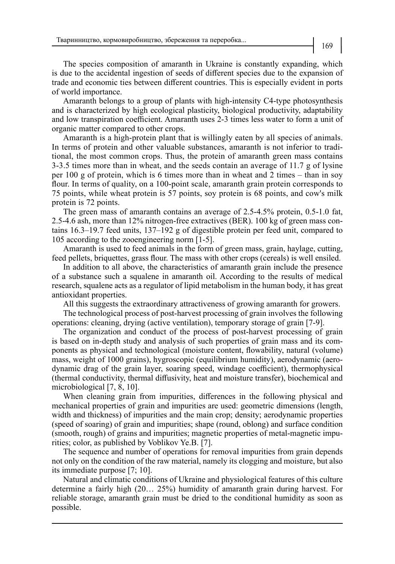The species composition of amaranth in Ukraine is constantly expanding, which is due to the accidental ingestion of seeds of different species due to the expansion of trade and economic ties between different countries. This is especially evident in ports of world importance.

Amaranth belongs to a group of plants with high-intensity C4-type photosynthesis and is characterized by high ecological plasticity, biological productivity, adaptability and low transpiration coefficient. Amaranth uses 2-3 times less water to form a unit of organic matter compared to other crops.

Amaranth is a high-protein plant that is willingly eaten by all species of animals. In terms of protein and other valuable substances, amaranth is not inferior to traditional, the most common crops. Thus, the protein of amaranth green mass contains 3-3.5 times more than in wheat, and the seeds contain an average of 11.7 g of lysine per 100 g of protein, which is 6 times more than in wheat and 2 times – than in soy flour. In terms of quality, on a 100-point scale, amaranth grain protein corresponds to 75 points, while wheat protein is 57 points, soy protein is 68 points, and cow's milk protein is 72 points.

The green mass of amaranth contains an average of 2.5-4.5% protein, 0.5-1.0 fat, 2.5-4.6 ash, more than 12% nitrogen-free extractives (BER). 100 kg of green mass contains 16.3–19.7 feed units, 137–192 g of digestible protein per feed unit, compared to 105 according to the zooengineering norm [1-5].

Amaranth is used to feed animals in the form of green mass, grain, haylage, cutting, feed pellets, briquettes, grass flour. The mass with other crops (cereals) is well ensiled.

In addition to all above, the characteristics of amaranth grain include the presence of a substance such a squalene in amaranth oil. According to the results of medical research, squalene acts as a regulator of lipid metabolism in the human body, it has great antioxidant properties.

All this suggests the extraordinary attractiveness of growing amaranth for growers.

The technological process of post-harvest processing of grain involves the following operations: cleaning, drying (active ventilation), temporary storage of grain [7-9].

The organization and conduct of the process of post-harvest processing of grain is based on in-depth study and analysis of such properties of grain mass and its components as physical and technological (moisture content, flowability, natural (volume) mass, weight of 1000 grains), hygroscopic (equilibrium humidity), aerodynamic (aerodynamic drag of the grain layer, soaring speed, windage coefficient), thermophysical (thermal conductivity, thermal diffusivity, heat and moisture transfer), biochemical and microbiological [7, 8, 10].

When cleaning grain from impurities, differences in the following physical and mechanical properties of grain and impurities are used: geometric dimensions (length, width and thickness) of impurities and the main crop; density; aerodynamic properties (speed of soaring) of grain and impurities; shape (round, oblong) and surface condition (smooth, rough) of grains and impurities; magnetic properties of metal-magnetic impurities; color, as published by Voblikov Ye.B. [7].

The sequence and number of operations for removal impurities from grain depends not only on the condition of the raw material, namely its clogging and moisture, but also its immediate purpose [7; 10].

Natural and climatic conditions of Ukraine and physiological features of this culture determine a fairly high (20… 25%) humidity of amaranth grain during harvest. For reliable storage, amaranth grain must be dried to the conditional humidity as soon as possible.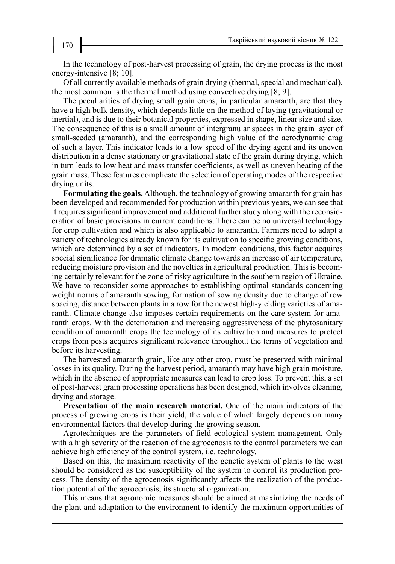In the technology of post-harvest processing of grain, the drying process is the most energy-intensive [8; 10].

Of all currently available methods of grain drying (thermal, special and mechanical), the most common is the thermal method using convective drying [8; 9].

The peculiarities of drying small grain crops, in particular amaranth, are that they have a high bulk density, which depends little on the method of laying (gravitational or inertial), and is due to their botanical properties, expressed in shape, linear size and size. The consequence of this is a small amount of intergranular spaces in the grain layer of small-seeded (amaranth), and the corresponding high value of the aerodynamic drag of such a layer. This indicator leads to a low speed of the drying agent and its uneven distribution in a dense stationary or gravitational state of the grain during drying, which in turn leads to low heat and mass transfer coefficients, as well as uneven heating of the grain mass. These features complicate the selection of operating modes of the respective drying units.

**Formulating the goals.** Although, the technology of growing amaranth for grain has been developed and recommended for production within previous years, we can see that it requires significant improvement and additional further study along with the reconsideration of basic provisions in current conditions. There can be no universal technology for crop cultivation and which is also applicable to amaranth. Farmers need to adapt a variety of technologies already known for its cultivation to specific growing conditions, which are determined by a set of indicators. In modern conditions, this factor acquires special significance for dramatic climate change towards an increase of air temperature, reducing moisture provision and the novelties in agricultural production. This is becoming certainly relevant for the zone of risky agriculture in the southern region of Ukraine. We have to reconsider some approaches to establishing optimal standards concerning weight norms of amaranth sowing, formation of sowing density due to change of row spacing, distance between plants in a row for the newest high-yielding varieties of amaranth. Climate change also imposes certain requirements on the care system for amaranth crops. With the deterioration and increasing aggressiveness of the phytosanitary condition of amaranth crops the technology of its cultivation and measures to protect crops from pests acquires significant relevance throughout the terms of vegetation and before its harvesting.

The harvested amaranth grain, like any other crop, must be preserved with minimal losses in its quality. During the harvest period, amaranth may have high grain moisture, which in the absence of appropriate measures can lead to crop loss. To prevent this, a set of post-harvest grain processing operations has been designed, which involves cleaning, drying and storage.

**Presentation of the main research material.** One of the main indicators of the process of growing crops is their yield, the value of which largely depends on many environmental factors that develop during the growing season.

Agrotechniques are the parameters of field ecological system management. Only with a high severity of the reaction of the agrocenosis to the control parameters we can achieve high efficiency of the control system, i.e. technology.

Based on this, the maximum reactivity of the genetic system of plants to the west should be considered as the susceptibility of the system to control its production process. The density of the agrocenosis significantly affects the realization of the production potential of the agrocenosis, its structural organization.

This means that agronomic measures should be aimed at maximizing the needs of the plant and adaptation to the environment to identify the maximum opportunities of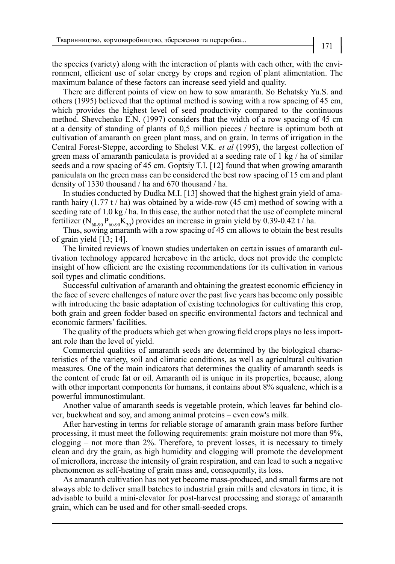the species (variety) along with the interaction of plants with each other, with the environment, efficient use of solar energy by crops and region of plant alimentation. The maximum balance of these factors can increase seed yield and quality.

There are different points of view on how to sow amaranth. So Behatsky Yu.S. and others (1995) believed that the optimal method is sowing with a row spacing of 45 cm, which provides the highest level of seed productivity compared to the continuous method. Shevchenko E.N. (1997) considers that the width of a row spacing of 45 cm at a density of standing of plants of 0,5 million pieces / hectare is optimum both at cultivation of amaranth on green plant mass, and on grain. In terms of irrigation in the Central Forest-Steppe, according to Shelest V.K. *et al* (1995), the largest collection of green mass of amaranth paniculata is provided at a seeding rate of 1 kg / ha of similar seeds and a row spacing of 45 cm. Goptsiy T.I. [12] found that when growing amaranth paniculata on the green mass can be considered the best row spacing of 15 cm and plant density of 1330 thousand / ha and 670 thousand / ha.

In studies conducted by Dudka M.I. [13] showed that the highest grain yield of amaranth hairy  $(1.77 t / h a)$  was obtained by a wide-row  $(45 cm)$  method of sowing with a seeding rate of 1.0 kg / ha. In this case, the author noted that the use of complete mineral fertilizer ( $N_{60.90}P_{60.90}K_{30}$ ) provides an increase in grain yield by 0.39-0.42 t / ha.

Thus, sowing amaranth with a row spacing of 45 cm allows to obtain the best results of grain yield [13; 14].

The limited reviews of known studies undertaken on certain issues of amaranth cultivation technology appeared hereabove in the article, does not provide the complete insight of how efficient are the existing recommendations for its cultivation in various soil types and climatic conditions.

Successful cultivation of amaranth and obtaining the greatest economic efficiency in the face of severe challenges of nature over the past five years has become only possible with introducing the basic adaptation of existing technologies for cultivating this crop, both grain and green fodder based on specific environmental factors and technical and economic farmers' facilities.

The quality of the products which get when growing field crops plays no less important role than the level of yield.

Commercial qualities of amaranth seeds are determined by the biological characteristics of the variety, soil and climatic conditions, as well as agricultural cultivation measures. One of the main indicators that determines the quality of amaranth seeds is the content of crude fat or oil. Amaranth oil is unique in its properties, because, along with other important components for humans, it contains about 8% squalene, which is a powerful immunostimulant.

Another value of amaranth seeds is vegetable protein, which leaves far behind clover, buckwheat and soy, and among animal proteins – even cow's milk.

After harvesting in terms for reliable storage of amaranth grain mass before further processing, it must meet the following requirements: grain moisture not more than 9%, clogging – not more than 2%. Therefore, to prevent losses, it is necessary to timely clean and dry the grain, as high humidity and clogging will promote the development of microflora, increase the intensity of grain respiration, and can lead to such a negative phenomenon as self-heating of grain mass and, consequently, its loss.

As amaranth cultivation has not yet become mass-produced, and small farms are not always able to deliver small batches to industrial grain mills and elevators in time, it is advisable to build a mini-elevator for post-harvest processing and storage of amaranth grain, which can be used and for other small-seeded crops.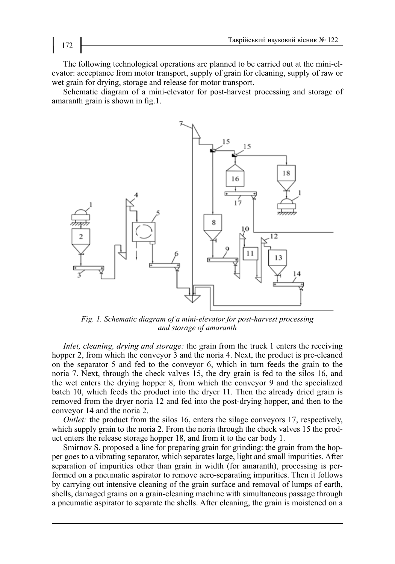The following technological operations are planned to be carried out at the mini-elevator: acceptance from motor transport, supply of grain for cleaning, supply of raw or wet grain for drying, storage and release for motor transport.

Schematic diagram of a mini-elevator for post-harvest processing and storage of amaranth grain is shown in fig.1.



*Fig. 1. Schematic diagram of a mini-elevator for post-harvest processing and storage of amaranth*

*Inlet, cleaning, drying and storage:* the grain from the truck 1 enters the receiving hopper 2, from which the conveyor 3 and the noria 4. Next, the product is pre-cleaned on the separator 5 and fed to the conveyor 6, which in turn feeds the grain to the noria 7. Next, through the check valves 15, the dry grain is fed to the silos 16, and the wet enters the drying hopper 8, from which the conveyor 9 and the specialized batch 10, which feeds the product into the dryer 11. Then the already dried grain is removed from the dryer noria 12 and fed into the post-drying hopper, and then to the conveyor 14 and the noria 2.

*Outlet:* the product from the silos 16, enters the silage conveyors 17, respectively, which supply grain to the noria 2. From the noria through the check valves 15 the product enters the release storage hopper 18, and from it to the car body 1.

Smirnov S. proposed a line for preparing grain for grinding: the grain from the hopper goes to a vibrating separator, which separates large, light and small impurities. After separation of impurities other than grain in width (for amaranth), processing is performed on a pneumatic aspirator to remove aero-separating impurities. Then it follows by carrying out intensive cleaning of the grain surface and removal of lumps of earth, shells, damaged grains on a grain-cleaning machine with simultaneous passage through a pneumatic aspirator to separate the shells. After cleaning, the grain is moistened on a